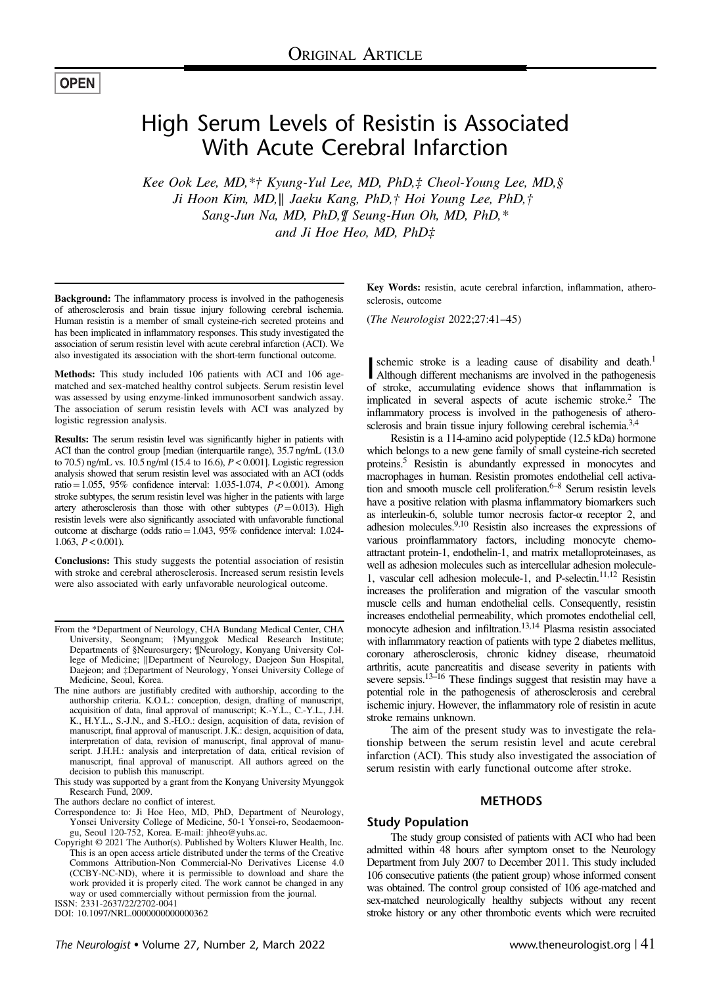## **OPEN**

# High Serum Levels of Resistin is Associated With Acute Cerebral Infarction

Kee Ook Lee, MD,\*† Kyung-Yul Lee, MD, PhD,‡ Cheol-Young Lee, MD,§ Ji Hoon Kim, MD,∥ Jaeku Kang, PhD,† Hoi Young Lee, PhD,† Sang-Jun Na, MD, PhD,¶ Seung-Hun Oh, MD, PhD,\* and Ji Hoe Heo, MD, PhD‡

Background: The inflammatory process is involved in the pathogenesis of atherosclerosis and brain tissue injury following cerebral ischemia. Human resistin is a member of small cysteine-rich secreted proteins and has been implicated in inflammatory responses. This study investigated the association of serum resistin level with acute cerebral infarction (ACI). We also investigated its association with the short-term functional outcome.

Methods: This study included 106 patients with ACI and 106 agematched and sex-matched healthy control subjects. Serum resistin level was assessed by using enzyme-linked immunosorbent sandwich assay. The association of serum resistin levels with ACI was analyzed by logistic regression analysis.

Results: The serum resistin level was significantly higher in patients with ACI than the control group [median (interquartile range), 35.7 ng/mL (13.0) to 70.5) ng/mL vs. 10.5 ng/ml (15.4 to 16.6),  $P < 0.001$ ]. Logistic regression analysis showed that serum resistin level was associated with an ACI (odds ratio=1.055, 95% confidence interval: 1.035-1.074,  $P < 0.001$ ). Among stroke subtypes, the serum resistin level was higher in the patients with large artery atherosclerosis than those with other subtypes  $(P=0.013)$ . High resistin levels were also significantly associated with unfavorable functional outcome at discharge (odds ratio=1.043, 95% confidence interval: 1.024- 1.063,  $P < 0.001$ ).

Conclusions: This study suggests the potential association of resistin with stroke and cerebral atherosclerosis. Increased serum resistin levels were also associated with early unfavorable neurological outcome.

The authors declare no conflict of interest.

ISSN: 2331-2637/22/2702-0041

DOI: 10.1097/NRL.0000000000000362

Key Words: resistin, acute cerebral infarction, inflammation, atherosclerosis, outcome

(The Neurologist 2022;27:41–45)

schemic stroke is a leading cause of disability and death.<sup>1</sup><br>Although different mechanisms are involved in the pathogenesis schemic stroke is a leading cause of disability and death.<sup>1</sup> of stroke, accumulating evidence shows that inflammation is implicated in several aspects of acute ischemic stroke[.2](#page-4-0) The inflammatory process is involved in the pathogenesis of athero-sclerosis and brain tissue injury following cerebral ischemia.<sup>[3,4](#page-4-0)</sup>

Resistin is a 114-amino acid polypeptide (12.5 kDa) hormone which belongs to a new gene family of small cysteine-rich secreted proteins[.5](#page-4-0) Resistin is abundantly expressed in monocytes and macrophages in human. Resistin promotes endothelial cell activation and smooth muscle cell proliferation. $6-8$  Serum resistin levels have a positive relation with plasma inflammatory biomarkers such as interleukin-6, soluble tumor necrosis factor-α receptor 2, and adhesion molecules.[9,10](#page-4-0) Resistin also increases the expressions of various proinflammatory factors, including monocyte chemoattractant protein-1, endothelin-1, and matrix metalloproteinases, as well as adhesion molecules such as intercellular adhesion molecule-1, vascular cell adhesion molecule-1, and P-selectin.<sup>11,12</sup> Resistin increases the proliferation and migration of the vascular smooth muscle cells and human endothelial cells. Consequently, resistin increases endothelial permeability, which promotes endothelial cell, monocyte adhesion and infiltration.<sup>13,14</sup> Plasma resistin associated with inflammatory reaction of patients with type 2 diabetes mellitus, coronary atherosclerosis, chronic kidney disease, rheumatoid arthritis, acute pancreatitis and disease severity in patients with severe sepsis.13–[16](#page-4-0) These findings suggest that resistin may have a potential role in the pathogenesis of atherosclerosis and cerebral ischemic injury. However, the inflammatory role of resistin in acute stroke remains unknown.

The aim of the present study was to investigate the relationship between the serum resistin level and acute cerebral infarction (ACI). This study also investigated the association of serum resistin with early functional outcome after stroke.

#### METHODS

### Study Population

The study group consisted of patients with ACI who had been admitted within 48 hours after symptom onset to the Neurology Department from July 2007 to December 2011. This study included 106 consecutive patients (the patient group) whose informed consent was obtained. The control group consisted of 106 age-matched and sex-matched neurologically healthy subjects without any recent stroke history or any other thrombotic events which were recruited

From the \*Department of Neurology, CHA Bundang Medical Center, CHA University, Seongnam; †Myunggok Medical Research Institute; Departments of §Neurosurgery; ¶Neurology, Konyang University College of Medicine; ∥Department of Neurology, Daejeon Sun Hospital, Daejeon; and ‡Department of Neurology, Yonsei University College of Medicine, Seoul, Korea.

The nine authors are justifiably credited with authorship, according to the authorship criteria. K.O.L.: conception, design, drafting of manuscript, acquisition of data, final approval of manuscript; K.-Y.L., C.-Y.L., J.H. K., H.Y.L., S.-J.N., and S.-H.O.: design, acquisition of data, revision of manuscript, final approval of manuscript. J.K.: design, acquisition of data, interpretation of data, revision of manuscript, final approval of manuscript. J.H.H.: analysis and interpretation of data, critical revision of manuscript, final approval of manuscript. All authors agreed on the decision to publish this manuscript.

This study was supported by a grant from the Konyang University Myunggok Research Fund, 2009.

Correspondence to: Ji Hoe Heo, MD, PhD, Department of Neurology, Yonsei University College of Medicine, 50-1 Yonsei-ro, Seodaemoongu, Seoul 120-752, Korea. E-mail: [jhheo@yuhs.ac](mailto:jhheo@yuhs.ac).

Copyright © 2021 The Author(s). Published by Wolters Kluwer Health, Inc. This is an open access article distributed under the terms of the [Creative](http://creativecommons.org/licenses/by-nc-nd/4.0/) [Commons Attribution-Non Commercial-No Derivatives License 4.0](http://creativecommons.org/licenses/by-nc-nd/4.0/) (CCBY-NC-ND), where it is permissible to download and share the work provided it is properly cited. The work cannot be changed in any way or used commercially without permission from the journal.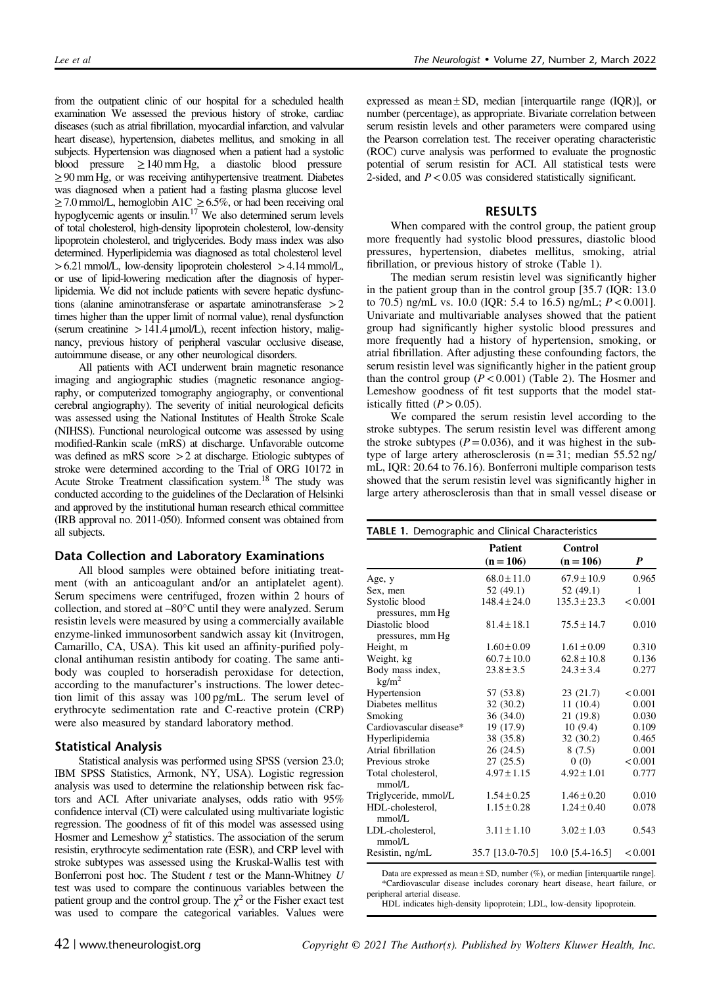from the outpatient clinic of our hospital for a scheduled health examination We assessed the previous history of stroke, cardiac diseases (such as atrial fibrillation, myocardial infarction, and valvular heart disease), hypertension, diabetes mellitus, and smoking in all subjects. Hypertension was diagnosed when a patient had a systolic blood pressure  $\geq 140$  mm Hg, a diastolic blood pressure ≥90 mm Hg, or was receiving antihypertensive treatment. Diabetes was diagnosed when a patient had a fasting plasma glucose level  $\geq$  7.0 mmol/L, hemoglobin A1C  $\geq$  6.5%, or had been receiving oral hypoglycemic agents or insulin.<sup>17</sup> We also determined serum levels of total cholesterol, high-density lipoprotein cholesterol, low-density lipoprotein cholesterol, and triglycerides. Body mass index was also determined. Hyperlipidemia was diagnosed as total cholesterol level  $>6.21$  mmol/L, low-density lipoprotein cholesterol  $>4.14$  mmol/L, or use of lipid-lowering medication after the diagnosis of hyperlipidemia. We did not include patients with severe hepatic dysfunctions (alanine aminotransferase or aspartate aminotransferase >2 times higher than the upper limit of normal value), renal dysfunction (serum creatinine  $>141.4 \mu$ mol/L), recent infection history, malignancy, previous history of peripheral vascular occlusive disease, autoimmune disease, or any other neurological disorders.

All patients with ACI underwent brain magnetic resonance imaging and angiographic studies (magnetic resonance angiography, or computerized tomography angiography, or conventional cerebral angiography). The severity of initial neurological deficits was assessed using the National Institutes of Health Stroke Scale (NIHSS). Functional neurological outcome was assessed by using modified-Rankin scale (mRS) at discharge. Unfavorable outcome was defined as mRS score >2 at discharge. Etiologic subtypes of stroke were determined according to the Trial of ORG 10172 in Acute Stroke Treatment classification system[.18](#page-4-0) The study was conducted according to the guidelines of the Declaration of Helsinki and approved by the institutional human research ethical committee (IRB approval no. 2011-050). Informed consent was obtained from all subjects.

#### Data Collection and Laboratory Examinations

All blood samples were obtained before initiating treatment (with an anticoagulant and/or an antiplatelet agent). Serum specimens were centrifuged, frozen within 2 hours of collection, and stored at –80°C until they were analyzed. Serum resistin levels were measured by using a commercially available enzyme-linked immunosorbent sandwich assay kit (Invitrogen, Camarillo, CA, USA). This kit used an affinity-purified polyclonal antihuman resistin antibody for coating. The same antibody was coupled to horseradish peroxidase for detection, according to the manufacturer's instructions. The lower detection limit of this assay was 100 pg/mL. The serum level of erythrocyte sedimentation rate and C-reactive protein (CRP) were also measured by standard laboratory method.

#### Statistical Analysis

Statistical analysis was performed using SPSS (version 23.0; IBM SPSS Statistics, Armonk, NY, USA). Logistic regression analysis was used to determine the relationship between risk factors and ACI. After univariate analyses, odds ratio with 95% confidence interval (CI) were calculated using multivariate logistic regression. The goodness of fit of this model was assessed using Hosmer and Lemeshow  $\chi^2$  statistics. The association of the serum resistin, erythrocyte sedimentation rate (ESR), and CRP level with stroke subtypes was assessed using the Kruskal-Wallis test with Bonferroni post hoc. The Student  $t$  test or the Mann-Whitney  $U$ test was used to compare the continuous variables between the patient group and the control group. The  $\chi^2$  or the Fisher exact test was used to compare the categorical variables. Values were

expressed as mean  $\pm$  SD, median [interquartile range (IQR)], or number (percentage), as appropriate. Bivariate correlation between serum resistin levels and other parameters were compared using the Pearson correlation test. The receiver operating characteristic (ROC) curve analysis was performed to evaluate the prognostic potential of serum resistin for ACI. All statistical tests were 2-sided, and  $P < 0.05$  was considered statistically significant.

#### RESULTS

When compared with the control group, the patient group more frequently had systolic blood pressures, diastolic blood pressures, hypertension, diabetes mellitus, smoking, atrial fibrillation, or previous history of stroke (Table 1).

The median serum resistin level was significantly higher in the patient group than in the control group [35.7 (IQR: 13.0 to 70.5) ng/mL vs. 10.0 (IQR: 5.4 to 16.5) ng/mL;  $P < 0.001$ ]. Univariate and multivariable analyses showed that the patient group had significantly higher systolic blood pressures and more frequently had a history of hypertension, smoking, or atrial fibrillation. After adjusting these confounding factors, the serum resistin level was significantly higher in the patient group than the control group  $(P < 0.001)$  [\(Table 2](#page-2-0)). The Hosmer and Lemeshow goodness of fit test supports that the model statistically fitted  $(P > 0.05)$ .

We compared the serum resistin level according to the stroke subtypes. The serum resistin level was different among the stroke subtypes ( $P=0.036$ ), and it was highest in the subtype of large artery atherosclerosis  $(n=31; \text{ median } 55.52 \text{ ng}/$ mL, IQR: 20.64 to 76.16). Bonferroni multiple comparison tests showed that the serum resistin level was significantly higher in large artery atherosclerosis than that in small vessel disease or

| <b>TABLE 1.</b> Demographic and Clinical Characteristics |                               |                        |         |  |
|----------------------------------------------------------|-------------------------------|------------------------|---------|--|
|                                                          | <b>Patient</b><br>$(n = 106)$ | Control<br>$(n = 106)$ | P       |  |
| Age, y                                                   | $68.0 \pm 11.0$               | $67.9 \pm 10.9$        | 0.965   |  |
| Sex, men                                                 | 52 (49.1)                     | 52(49.1)               | 1       |  |
| Systolic blood                                           | $148.4 \pm 24.0$              | $135.3 \pm 23.3$       | < 0.001 |  |
| pressures, mm Hg                                         |                               |                        |         |  |
| Diastolic blood                                          | $81.4 \pm 18.1$               | $75.5 \pm 14.7$        | 0.010   |  |
| pressures, mm Hg                                         |                               |                        |         |  |
| Height, m                                                | $1.60 \pm 0.09$               | $1.61 \pm 0.09$        | 0.310   |  |
| Weight, kg                                               | $60.7 \pm 10.0$               | $62.8 \pm 10.8$        | 0.136   |  |
| Body mass index,<br>$\text{kg/m}^2$                      | $23.8 \pm 3.5$                | $24.3 \pm 3.4$         | 0.277   |  |
| Hypertension                                             | 57 (53.8)                     | 23(21.7)               | < 0.001 |  |
| Diabetes mellitus                                        | 32(30.2)                      | 11(10.4)               | 0.001   |  |
| Smoking                                                  | 36(34.0)                      | 21 (19.8)              | 0.030   |  |
| Cardiovascular disease*                                  | 19 (17.9)                     | 10(9.4)                | 0.109   |  |
| Hyperlipidemia                                           | 38 (35.8)                     | 32(30.2)               | 0.465   |  |
| Atrial fibrillation                                      | 26(24.5)                      | 8(7.5)                 | 0.001   |  |
| Previous stroke                                          | 27(25.5)                      | (0)                    | < 0.001 |  |
| Total cholesterol,<br>mmol/L                             | $4.97 \pm 1.15$               | $4.92 \pm 1.01$        | 0.777   |  |
| Triglyceride, mmol/L                                     | $1.54 \pm 0.25$               | $1.46 + 0.20$          | 0.010   |  |
| HDL-cholesterol,<br>mmol/L                               | $1.15 \pm 0.28$               | $1.24 + 0.40$          | 0.078   |  |
| LDL-cholesterol,<br>mmol/L                               | $3.11 \pm 1.10$               | $3.02 + 1.03$          | 0.543   |  |
| Resistin, ng/mL                                          | 35.7 [13.0-70.5]              | 10.0 [5.4-16.5]        | < 0.001 |  |

Data are expressed as mean  $\pm$  SD, number (%), or median [interquartile range]. \*Cardiovascular disease includes coronary heart disease, heart failure, or peripheral arterial disease.

HDL indicates high-density lipoprotein; LDL, low-density lipoprotein.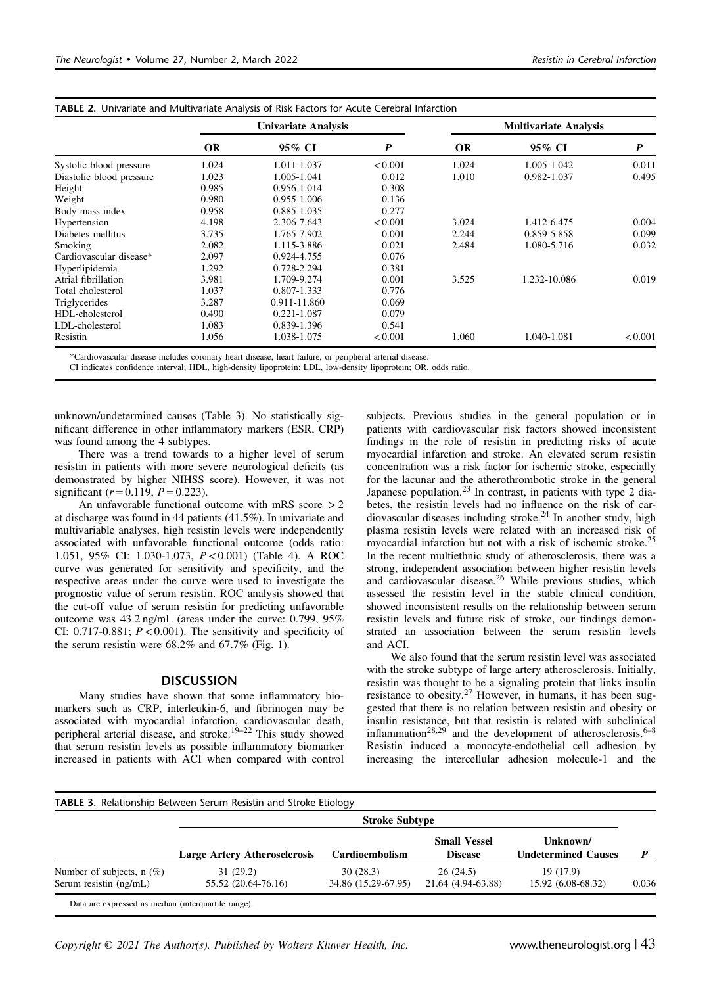|                          | <b>Univariate Analysis</b> |              |                  | <b>Multivariate Analysis</b> |              |                  |  |
|--------------------------|----------------------------|--------------|------------------|------------------------------|--------------|------------------|--|
|                          | <b>OR</b>                  | 95% CI       | $\boldsymbol{P}$ | <b>OR</b>                    | 95% CI       | $\boldsymbol{P}$ |  |
| Systolic blood pressure  | 1.024                      | 1.011-1.037  | < 0.001          | 1.024                        | 1.005-1.042  | 0.011            |  |
| Diastolic blood pressure | 1.023                      | 1.005-1.041  | 0.012            | 1.010                        | 0.982-1.037  | 0.495            |  |
| Height                   | 0.985                      | 0.956-1.014  | 0.308            |                              |              |                  |  |
| Weight                   | 0.980                      | 0.955-1.006  | 0.136            |                              |              |                  |  |
| Body mass index          | 0.958                      | 0.885-1.035  | 0.277            |                              |              |                  |  |
| Hypertension             | 4.198                      | 2.306-7.643  | < 0.001          | 3.024                        | 1.412-6.475  | 0.004            |  |
| Diabetes mellitus        | 3.735                      | 1.765-7.902  | 0.001            | 2.244                        | 0.859-5.858  | 0.099            |  |
| Smoking                  | 2.082                      | 1.115-3.886  | 0.021            | 2.484                        | 1.080-5.716  | 0.032            |  |
| Cardiovascular disease*  | 2.097                      | 0.924-4.755  | 0.076            |                              |              |                  |  |
| Hyperlipidemia           | 1.292                      | 0.728-2.294  | 0.381            |                              |              |                  |  |
| Atrial fibrillation      | 3.981                      | 1.709-9.274  | 0.001            | 3.525                        | 1.232-10.086 | 0.019            |  |
| Total cholesterol        | 1.037                      | 0.807-1.333  | 0.776            |                              |              |                  |  |
| Triglycerides            | 3.287                      | 0.911-11.860 | 0.069            |                              |              |                  |  |
| HDL-cholesterol          | 0.490                      | 0.221-1.087  | 0.079            |                              |              |                  |  |
| LDL-cholesterol          | 1.083                      | 0.839-1.396  | 0.541            |                              |              |                  |  |
| Resistin                 | 1.056                      | 1.038-1.075  | < 0.001          | 1.060                        | 1.040-1.081  | < 0.001          |  |

<span id="page-2-0"></span>TABLE 2. Univariate and Multivariate Analysis of Risk Factors for Acute Cerebral Infarction

\*Cardiovascular disease includes coronary heart disease, heart failure, or peripheral arterial disease.

CI indicates confidence interval; HDL, high-density lipoprotein; LDL, low-density lipoprotein; OR, odds ratio.

unknown/undetermined causes (Table 3). No statistically significant difference in other inflammatory markers (ESR, CRP) was found among the 4 subtypes.

There was a trend towards to a higher level of serum resistin in patients with more severe neurological deficits (as demonstrated by higher NIHSS score). However, it was not significant ( $r = 0.119$ ,  $P = 0.223$ ).

An unfavorable functional outcome with mRS score  $>2$ at discharge was found in 44 patients (41.5%). In univariate and multivariable analyses, high resistin levels were independently associated with unfavorable functional outcome (odds ratio: 1.051, 95% CI: 1.030-1.073, P<0.001) ([Table 4\)](#page-3-0). A ROC curve was generated for sensitivity and specificity, and the respective areas under the curve were used to investigate the prognostic value of serum resistin. ROC analysis showed that the cut-off value of serum resistin for predicting unfavorable outcome was 43.2 ng/mL (areas under the curve: 0.799, 95% CI:  $0.717 - 0.881$ ;  $P < 0.001$ ). The sensitivity and specificity of the serum resistin were 68.2% and 67.7% ([Fig. 1](#page-3-0)).

#### **DISCUSSION**

Many studies have shown that some inflammatory biomarkers such as CRP, interleukin-6, and fibrinogen may be associated with myocardial infarction, cardiovascular death, peripheral arterial disease, and stroke.<sup>[19](#page-4-0)–22</sup> This study showed that serum resistin levels as possible inflammatory biomarker increased in patients with ACI when compared with control

subjects. Previous studies in the general population or in patients with cardiovascular risk factors showed inconsistent findings in the role of resistin in predicting risks of acute myocardial infarction and stroke. An elevated serum resistin concentration was a risk factor for ischemic stroke, especially for the lacunar and the atherothrombotic stroke in the general Japanese population.<sup>[23](#page-4-0)</sup> In contrast, in patients with type  $\overline{2}$  diabetes, the resistin levels had no influence on the risk of cardiovascular diseases including stroke.[24](#page-4-0) In another study, high plasma resistin levels were related with an increased risk of myocardial infarction but not with a risk of ischemic stroke.[25](#page-4-0) In the recent multiethnic study of atherosclerosis, there was a strong, independent association between higher resistin levels and cardiovascular disease.<sup>[26](#page-4-0)</sup> While previous studies, which assessed the resistin level in the stable clinical condition, showed inconsistent results on the relationship between serum resistin levels and future risk of stroke, our findings demonstrated an association between the serum resistin levels and ACI.

We also found that the serum resistin level was associated with the stroke subtype of large artery atherosclerosis. Initially, resistin was thought to be a signaling protein that links insulin resistance to obesity[.27](#page-4-0) However, in humans, it has been suggested that there is no relation between resistin and obesity or insulin resistance, but that resistin is related with subclinical inflammation<sup>[28,29](#page-4-0)</sup> and the development of atherosclerosis.<sup>[6](#page-4-0)–8</sup> Resistin induced a monocyte-endothelial cell adhesion by increasing the intercellular adhesion molecule-1 and the

|                                                       | <b>TABLE 3.</b> Relationship Between Serum Resistin and Stroke Etiology<br><b>Stroke Subtype</b> |                                 |                                       |                                        |       |
|-------------------------------------------------------|--------------------------------------------------------------------------------------------------|---------------------------------|---------------------------------------|----------------------------------------|-------|
|                                                       | <b>Large Artery Atherosclerosis</b>                                                              | <b>Cardioembolism</b>           | <b>Small Vessel</b><br><b>Disease</b> | Unknown/<br><b>Undetermined Causes</b> |       |
| Number of subjects, $n$ (%)<br>Serum resistin (ng/mL) | 31 (29.2)<br>55.52 (20.64-76.16)                                                                 | 30(28.3)<br>34.86 (15.29-67.95) | 26(24.5)<br>21.64 (4.94-63.88)        | 19 (17.9)<br>15.92 (6.08-68.32)        | 0.036 |

Data are expressed as median (interquartile range).

Copyright  $\odot$  2021 The Author(s). Published by Wolters Kluwer Health, Inc. www.theneurologist.org | 43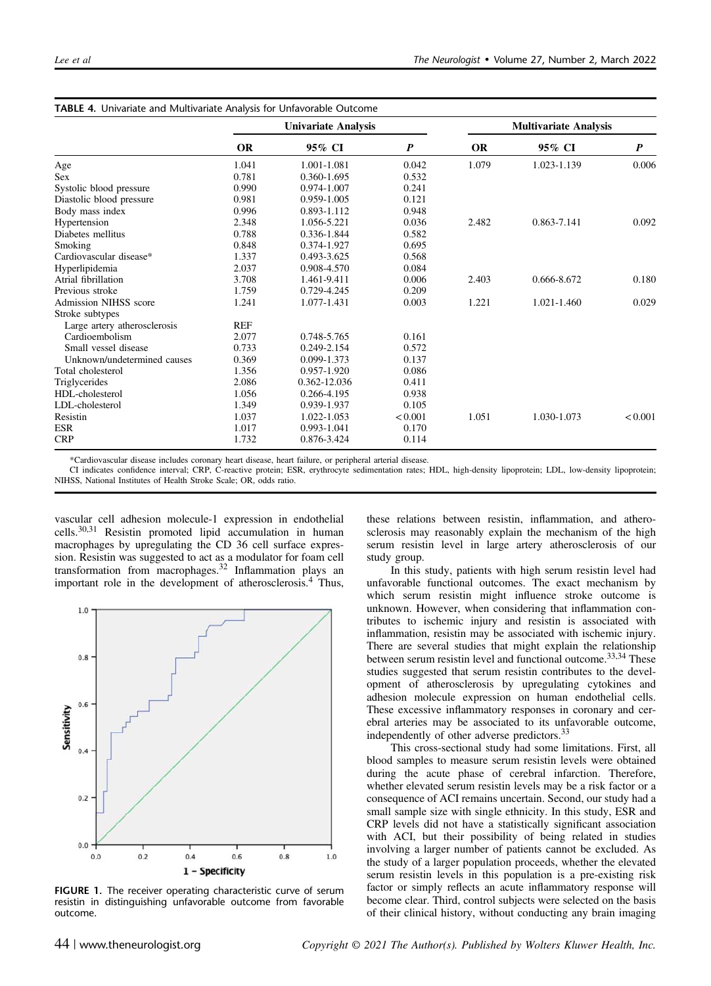|                              | <b>Univariate Analysis</b> |              |                  | <b>Multivariate Analysis</b> |             |                  |
|------------------------------|----------------------------|--------------|------------------|------------------------------|-------------|------------------|
|                              | <b>OR</b>                  | 95% CI       | $\boldsymbol{P}$ | <b>OR</b>                    | 95% CI      | $\boldsymbol{P}$ |
| Age                          | 1.041                      | 1.001-1.081  | 0.042            | 1.079                        | 1.023-1.139 | 0.006            |
| <b>Sex</b>                   | 0.781                      | 0.360-1.695  | 0.532            |                              |             |                  |
| Systolic blood pressure      | 0.990                      | 0.974-1.007  | 0.241            |                              |             |                  |
| Diastolic blood pressure     | 0.981                      | 0.959-1.005  | 0.121            |                              |             |                  |
| Body mass index              | 0.996                      | 0.893-1.112  | 0.948            |                              |             |                  |
| Hypertension                 | 2.348                      | 1.056-5.221  | 0.036            | 2.482                        | 0.863-7.141 | 0.092            |
| Diabetes mellitus            | 0.788                      | 0.336-1.844  | 0.582            |                              |             |                  |
| Smoking                      | 0.848                      | 0.374-1.927  | 0.695            |                              |             |                  |
| Cardiovascular disease*      | 1.337                      | 0.493-3.625  | 0.568            |                              |             |                  |
| Hyperlipidemia               | 2.037                      | 0.908-4.570  | 0.084            |                              |             |                  |
| Atrial fibrillation          | 3.708                      | 1.461-9.411  | 0.006            | 2.403                        | 0.666-8.672 | 0.180            |
| Previous stroke              | 1.759                      | 0.729-4.245  | 0.209            |                              |             |                  |
| <b>Admission NIHSS score</b> | 1.241                      | 1.077-1.431  | 0.003            | 1.221                        | 1.021-1.460 | 0.029            |
| Stroke subtypes              |                            |              |                  |                              |             |                  |
| Large artery atherosclerosis | <b>REF</b>                 |              |                  |                              |             |                  |
| Cardioembolism               | 2.077                      | 0.748-5.765  | 0.161            |                              |             |                  |
| Small vessel disease         | 0.733                      | 0.249-2.154  | 0.572            |                              |             |                  |
| Unknown/undetermined causes  | 0.369                      | 0.099-1.373  | 0.137            |                              |             |                  |
| Total cholesterol            | 1.356                      | 0.957-1.920  | 0.086            |                              |             |                  |
| Triglycerides                | 2.086                      | 0.362-12.036 | 0.411            |                              |             |                  |
| HDL-cholesterol              | 1.056                      | 0.266-4.195  | 0.938            |                              |             |                  |
| LDL-cholesterol              | 1.349                      | 0.939-1.937  | 0.105            |                              |             |                  |
| Resistin                     | 1.037                      | 1.022-1.053  | < 0.001          | 1.051                        | 1.030-1.073 | < 0.001          |
| <b>ESR</b>                   | 1.017                      | 0.993-1.041  | 0.170            |                              |             |                  |
| <b>CRP</b>                   | 1.732                      | 0.876-3.424  | 0.114            |                              |             |                  |

<span id="page-3-0"></span>TABLE 4. Univariate and Multivariate Analysis for Unfavorable Outcome

\*Cardiovascular disease includes coronary heart disease, heart failure, or peripheral arterial disease.

CI indicates confidence interval; CRP, C-reactive protein; ESR, erythrocyte sedimentation rates; HDL, high-density lipoprotein; LDL, low-density lipoprotein; NIHSS, National Institutes of Health Stroke Scale; OR, odds ratio.

vascular cell adhesion molecule-1 expression in endothelial cells.[30,31](#page-4-0) Resistin promoted lipid accumulation in human macrophages by upregulating the CD 36 cell surface expression. Resistin was suggested to act as a modulator for foam cell transformation from macrophages.[32](#page-4-0) Inflammation plays an important role in the development of atherosclerosis.<sup>[4](#page-4-0)</sup> Thus,



FIGURE 1. The receiver operating characteristic curve of serum resistin in distinguishing unfavorable outcome from favorable outcome.

these relations between resistin, inflammation, and atherosclerosis may reasonably explain the mechanism of the high serum resistin level in large artery atherosclerosis of our study group.

In this study, patients with high serum resistin level had unfavorable functional outcomes. The exact mechanism by which serum resistin might influence stroke outcome is unknown. However, when considering that inflammation contributes to ischemic injury and resistin is associated with inflammation, resistin may be associated with ischemic injury. There are several studies that might explain the relationship between serum resistin level and functional outcome.<sup>[33,34](#page-4-0)</sup> These studies suggested that serum resistin contributes to the development of atherosclerosis by upregulating cytokines and adhesion molecule expression on human endothelial cells. These excessive inflammatory responses in coronary and cerebral arteries may be associated to its unfavorable outcome, independently of other adverse predictors.[33](#page-4-0)

This cross-sectional study had some limitations. First, all blood samples to measure serum resistin levels were obtained during the acute phase of cerebral infarction. Therefore, whether elevated serum resistin levels may be a risk factor or a consequence of ACI remains uncertain. Second, our study had a small sample size with single ethnicity. In this study, ESR and CRP levels did not have a statistically significant association with ACI, but their possibility of being related in studies involving a larger number of patients cannot be excluded. As the study of a larger population proceeds, whether the elevated serum resistin levels in this population is a pre-existing risk factor or simply reflects an acute inflammatory response will become clear. Third, control subjects were selected on the basis of their clinical history, without conducting any brain imaging